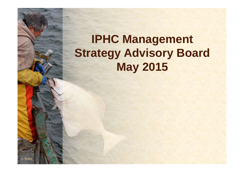# **IPHC Management Strategy Advisory Board May 2015**

L. Boitor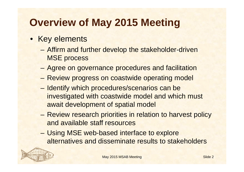# **Overview of May 2015 Meeting**

- Key elements
	- Affirm and further develop the stakeholder-driven MSE process
	- Agree on governance procedures and facilitation
	- Review progress on coastwide operating model
	- Identify which procedures/scenarios can be investigated with coastwide model and which must await development of spatial model
	- Review research priorities in relation to harvest policy and available staff resources
	- Using MSE web-based interface to explore alternatives and disseminate results to stakeholders

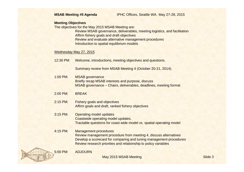#### **MSAB Meeting #5 Agenda** IPHC Offices, Seattle WA. May 27-28, 2015

### **Meeting Objectives**

The objectives for the May 2015 MSAB Meeting are:

Review MSAB governance, deliverables, meeting logistics, and facilitation Affirm fishery goals and draft objectives Review and evaluate alternative management procedures Introduction to spatial equilibrium models

### Wednesday May 27, 2015

12:30 PM: Welcome, introductions, meeting objectives and questions.

Summary review from MSAB Meeting 4 (October 20-21, 2014).

1:00 PM: MSAB governance Briefly recap MSAB interests and purpose, discuss MSAB governance – Chairs, deliverables, deadlines, meeting format

### 2:00 PM: BREAK

- 2:15 PM: Fishery goals and objectives Affirm goals and draft, ranked fishery objectives
- 3:15 PM: Operating model updates Coastwide operating model updates. Tractable questions for coast wide model vs. spatial operating model
- 4:15 PM: Management procedures Review management procedure from meeting 4, discuss alternatives Develop a scorecard for comparing and tuning management procedures Review research priorities and relationship to policy variables

5:00 PM: ADJOURN

May 2015 MSAB Meeting Slide 3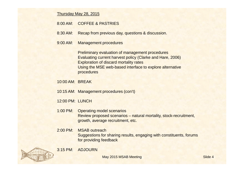Thursday May 28, 2015

### 8:00 AM: COFFEE & PASTRIES

8:30 AM: Recap from previous day, questions & discussion.

9:00 AM: Management procedures

Preliminary evaluation of management procedures Evaluating current harvest policy (Clarke and Hare, 2006) Exploration of discard mortality rates Using the MSE web-based interface to explore alternative procedures

- 10:00 AM: BREAK
- 10:15 AM: Management procedures (con't)
- 12:00 PM: LUNCH
- 1:00 PM: Operating model scenarios Review proposed scenarios – natural mortality, stock-recruitment, growth, average recruitment, etc.
- 2:00 PM: MSAB outreach Suggestions for sharing results, engaging with constituents, forums for providing feedback





May 2015 MSAB Meeting Slide 4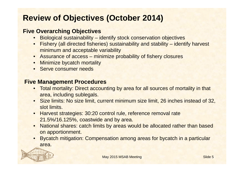## **Review of Objectives (October 2014)**

## **Five Overarching Objectives**

- Biological sustainability identify stock conservation objectives
- Fishery (all directed fisheries) sustainability and stability identify harvest minimum and acceptable variability
- Assurance of access minimize probability of fishery closures
- Minimize bycatch mortality
- Serve consumer needs

## **Five Management Procedures**

- Total mortality: Direct accounting by area for all sources of mortality in that area, including sublegals.
- Size limits: No size limit, current minimum size limit, 26 inches instead of 32, slot limits.
- Harvest strategies: 30:20 control rule, reference removal rate 21.5%/16.125%, coastwide and by area.
- National shares: catch limits by areas would be allocated rather than based on apportionment.
- Bycatch mitigation: Compensation among areas for bycatch in a particular area.

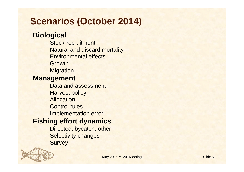# **Scenarios (October 2014)**

## **Biological**

- Stock-recruitment
- Natural and discard mortality
- Environmental effects
- Growth
- Migration

## **Management**

- Data and assessment
- Harvest policy
- Allocation
- Control rules
- Implementation error

## **Fishing effort dynamics**

- Directed, bycatch, other
- Selectivity changes
- Survey

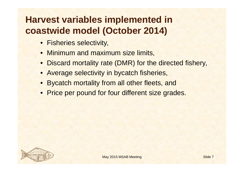# **Harvest variables implemented in coastwide model (October 2014)**

- Fisheries selectivity,
- **Minimum and maximum size limits,**
- Discard mortality rate (DMR) for the directed fishery,
- Average selectivity in bycatch fisheries,
- Bycatch mortality from all other fleets, and
- Price per pound for four different size grades.

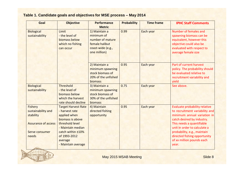### **Table 1. Candidate goals and objectives for MSE process – May 2014**

| Goal                                                                                                       | <b>Objective</b>                                                                                                                                                                               | <b>Performance</b><br><b>Metric</b>                                                                    | <b>Probability</b> | <b>Time frame</b> | <b>IPHC Staff Comments</b>                                                                                                                                                                                                                                                                     |
|------------------------------------------------------------------------------------------------------------|------------------------------------------------------------------------------------------------------------------------------------------------------------------------------------------------|--------------------------------------------------------------------------------------------------------|--------------------|-------------------|------------------------------------------------------------------------------------------------------------------------------------------------------------------------------------------------------------------------------------------------------------------------------------------------|
| <b>Biological</b><br>sustainability                                                                        | Limit<br>- the level of<br>biomass below<br>which no fishing<br>can occur                                                                                                                      | 1) Maintain a<br>minimum of<br>number of mature<br>female halibut<br>coast-wide (e.g.,<br>one million) | 0.99               | Each year         | Number of females and<br>spawning biomass can be<br>equivalent, however this<br>objective could also be<br>evaluated with respect to<br>average female size                                                                                                                                    |
|                                                                                                            |                                                                                                                                                                                                | 2) Maintain a<br>minimum spawning<br>stock biomass of<br>20% of the unfished<br>biomass                | 0.95               | Each year         | Part of current harvest<br>policy. The probability should<br>be evaluated relative to<br>recruitment variability and<br>yield                                                                                                                                                                  |
| <b>Biological</b><br>sustainability                                                                        | <b>Threshold</b><br>- the level of<br>biomass below<br>which the harvest<br>rate should decline                                                                                                | 3) Maintain a<br>minimum spawning<br>stock biomass of<br>30% of the unfished<br>biomass                | 0.75               | Each year         | See above.                                                                                                                                                                                                                                                                                     |
| <b>Fishery</b><br>sustainability and<br>stability<br><b>Assurance of access</b><br>Serve consumer<br>needs | <b>Target Harvest Rate</b><br>- harvest rate<br>applied when<br>biomass is above<br>threshold level<br>- Maintain median<br>catch within ±10%<br>of 1993-2012<br>average<br>- Maintain average | 4) Maintain<br>directed fishing<br>opportunity                                                         | 0.95               | Each year         | Evaluate probability relative<br>to recruitment variability and<br>minimum annual variation in<br>catch desired by industry.<br>This needs a quantifiable<br>unit in order to calculate a<br>probability, e.g., maintain<br>directed fishing opportunity<br>of xx million pounds each<br>year. |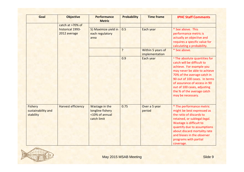| Goal                                              | <b>Objective</b>                                     | <b>Performance</b><br><b>Metric</b>                                 | <b>Probability</b> | <b>Time frame</b>                   | <b>IPHC Staff Comments</b>                                                                                                                                                                                                                                                                                |
|---------------------------------------------------|------------------------------------------------------|---------------------------------------------------------------------|--------------------|-------------------------------------|-----------------------------------------------------------------------------------------------------------------------------------------------------------------------------------------------------------------------------------------------------------------------------------------------------------|
|                                                   | catch at >70% of<br>historical 1993-<br>2012 average | 5) Maximize yield in<br>each regulatory<br>area                     | 0.5                | Each year                           | * See above. This<br>performance metric is<br>actually an objective and<br>requires a specific value for                                                                                                                                                                                                  |
|                                                   |                                                      |                                                                     | ?                  | Within 5 years of<br>implementation | calculating a probability.<br>* See above.                                                                                                                                                                                                                                                                |
|                                                   |                                                      |                                                                     | 0.9                | Each year                           | * The absolute quantities for<br>catch will be difficult to<br>achieve. For example you<br>may never be able to achieve<br>70% of the average catch in<br>90 out of 100 cases. In terms<br>of assurance of access in 90<br>out of 100 cases, adjusting<br>the % of the average catch<br>may be necessary. |
| <b>Fishery</b><br>sustainability and<br>stability | <b>Harvest efficiency</b>                            | Wastage in the<br>longline fishery<br><10% of annual<br>catch limit | 0.75               | Over a 5 year<br>period             | * The performance metric<br>might be best expressed as<br>the ratio of discards to<br>retained, or sublegal: legal.<br>Wastage is difficult to<br>quantify due to assumptions<br>about discard mortality rate<br>and biases in the observer<br>programs with partial<br>coverage.                         |